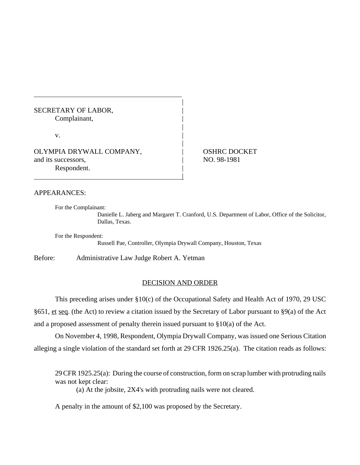# SECRETARY OF LABOR, Complainant,

 $\mathbf v$ .

OLYMPIA DRYWALL COMPANY,  $\qquad$  OSHRC DOCKET and its successors,  $\qquad$  NO. 98-1981 Respondent.

## APPEARANCES:

For the Complainant:

Danielle L. Jaberg and Margaret T. Cranford, U.S. Department of Labor, Office of the Solicitor, Dallas, Texas.

For the Respondent:

Russell Pae, Controller, Olympia Drywall Company, Houston, Texas

|

|

|

|

Before: Administrative Law Judge Robert A. Yetman

## DECISION AND ORDER

This preceding arises under §10(c) of the Occupational Safety and Health Act of 1970, 29 USC §651, et seq. (the Act) to review a citation issued by the Secretary of Labor pursuant to §9(a) of the Act and a proposed assessment of penalty therein issued pursuant to §10(a) of the Act.

On November 4, 1998, Respondent, Olympia Drywall Company, was issued one Serious Citation alleging a single violation of the standard set forth at 29 CFR 1926.25(a). The citation reads as follows:

29 CFR 1925.25(a): During the course of construction, form on scrap lumber with protruding nails was not kept clear:

(a) At the jobsite, 2X4's with protruding nails were not cleared.

A penalty in the amount of \$2,100 was proposed by the Secretary.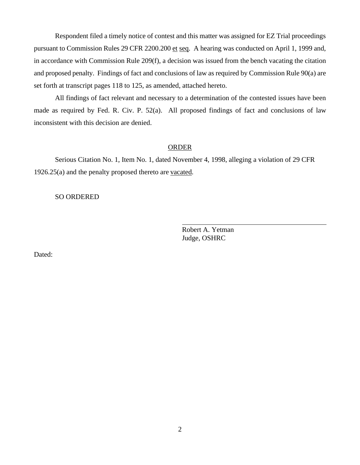Respondent filed a timely notice of contest and this matter was assigned for EZ Trial proceedings pursuant to Commission Rules 29 CFR 2200.200 et seq. A hearing was conducted on April 1, 1999 and, in accordance with Commission Rule 209(f), a decision was issued from the bench vacating the citation and proposed penalty. Findings of fact and conclusions of law as required by Commission Rule 90(a) are set forth at transcript pages 118 to 125, as amended, attached hereto.

All findings of fact relevant and necessary to a determination of the contested issues have been made as required by Fed. R. Civ. P. 52(a). All proposed findings of fact and conclusions of law inconsistent with this decision are denied.

### **ORDER**

 $\overline{a}$ 

Serious Citation No. 1, Item No. 1, dated November 4, 1998, alleging a violation of 29 CFR 1926.25(a) and the penalty proposed thereto are vacated.

## SO ORDERED

Robert A. Yetman Judge, OSHRC

Dated: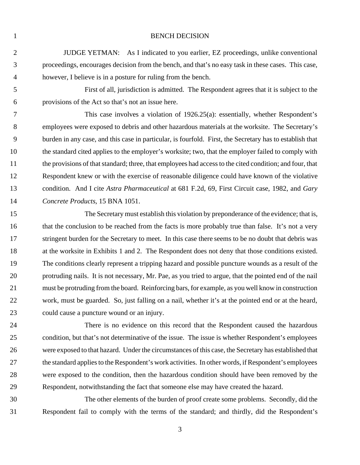#### 1 BENCH DECISION

 JUDGE YETMAN: As I indicated to you earlier, EZ proceedings, unlike conventional proceedings, encourages decision from the bench, and that's no easy task in these cases. This case, however, I believe is in a posture for ruling from the bench.

 First of all, jurisdiction is admitted. The Respondent agrees that it is subject to the provisions of the Act so that's not an issue here.

 This case involves a violation of 1926.25(a): essentially, whether Respondent's employees were exposed to debris and other hazardous materials at the worksite. The Secretary's burden in any case, and this case in particular, is fourfold. First, the Secretary has to establish that the standard cited applies to the employer's worksite; two, that the employer failed to comply with the provisions of that standard; three, that employees had access to the cited condition; and four, that Respondent knew or with the exercise of reasonable diligence could have known of the violative condition. And I cite *Astra Pharmaceutical* at 681 F.2d, 69, First Circuit case, 1982, and *Gary Concrete Products*, 15 BNA 1051.

 The Secretary must establish this violation by preponderance of the evidence; that is, that the conclusion to be reached from the facts is more probably true than false. It's not a very 17 stringent burden for the Secretary to meet. In this case there seems to be no doubt that debris was at the worksite in Exhibits 1 and 2. The Respondent does not deny that those conditions existed. The conditions clearly represent a tripping hazard and possible puncture wounds as a result of the protruding nails. It is not necessary, Mr. Pae, as you tried to argue, that the pointed end of the nail must be protruding from the board. Reinforcing bars, for example, as you well know in construction work, must be guarded. So, just falling on a nail, whether it's at the pointed end or at the heard, could cause a puncture wound or an injury.

 There is no evidence on this record that the Respondent caused the hazardous condition, but that's not determinative of the issue. The issue is whether Respondent's employees were exposed to that hazard. Under the circumstances of this case, the Secretary has established that the standard applies to the Respondent's work activities. In other words, if Respondent's employees were exposed to the condition, then the hazardous condition should have been removed by the Respondent, notwithstanding the fact that someone else may have created the hazard.

 The other elements of the burden of proof create some problems. Secondly, did the Respondent fail to comply with the terms of the standard; and thirdly, did the Respondent's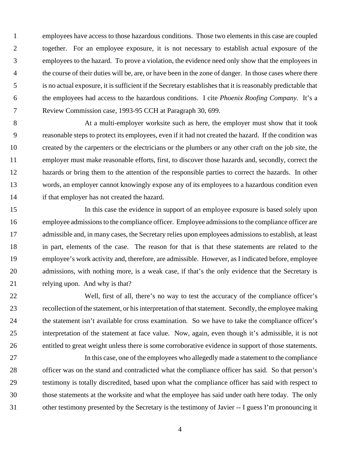employees have access to those hazardous conditions. Those two elements in this case are coupled together. For an employee exposure, it is not necessary to establish actual exposure of the employees to the hazard. To prove a violation, the evidence need only show that the employees in the course of their duties will be, are, or have been in the zone of danger. In those cases where there is no actual exposure, it is sufficient if the Secretary establishes that it is reasonably predictable that the employees had access to the hazardous conditions. I cite *Phoenix Roofing Company.* It's a Review Commission case, 1993-95 CCH at Paragraph 30, 699.

 At a multi-employer worksite such as here, the employer must show that it took reasonable steps to protect its employees, even if it had not created the hazard. If the condition was created by the carpenters or the electricians or the plumbers or any other craft on the job site, the employer must make reasonable efforts, first, to discover those hazards and, secondly, correct the hazards or bring them to the attention of the responsible parties to correct the hazards. In other words, an employer cannot knowingly expose any of its employees to a hazardous condition even if that employer has not created the hazard.

 In this case the evidence in support of an employee exposure is based solely upon employee admissions to the compliance officer. Employee admissions to the compliance officer are admissible and, in many cases, the Secretary relies upon employees admissions to establish, at least in part, elements of the case. The reason for that is that these statements are related to the employee's work activity and, therefore, are admissible. However, as I indicated before, employee admissions, with nothing more, is a weak case, if that's the only evidence that the Secretary is relying upon. And why is that?

 Well, first of all, there's no way to test the accuracy of the compliance officer's recollection of the statement, or his interpretation of that statement. Secondly, the employee making the statement isn't available for cross examination. So we have to take the compliance officer's interpretation of the statement at face value. Now, again, even though it's admissible, it is not entitled to great weight unless there is some corroborative evidence in support of those statements.

 In this case, one of the employees who allegedly made a statement to the compliance officer was on the stand and contradicted what the compliance officer has said. So that person's testimony is totally discredited, based upon what the compliance officer has said with respect to those statements at the worksite and what the employee has said under oath here today. The only other testimony presented by the Secretary is the testimony of Javier -- I guess I'm pronouncing it